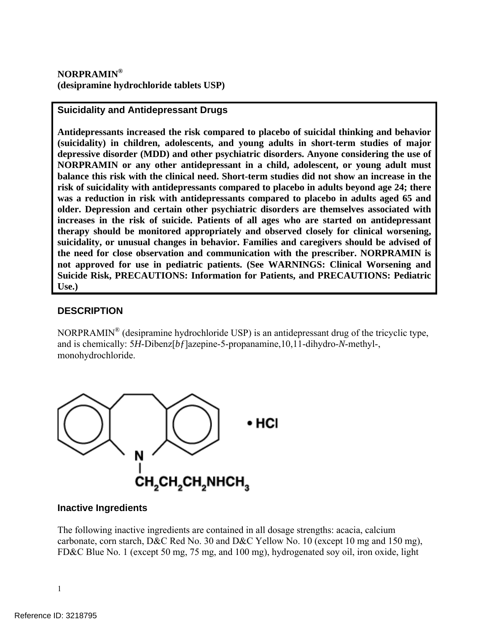## **NORPRAMIN® (desipramine hydrochloride tablets USP)**

## **Suicidality and Antidepressant Drugs**

**Antidepressants increased the risk compared to placebo of suicidal thinking and behavior (suicidality) in children, adolescents, and young adults in short-term studies of major depressive disorder (MDD) and other psychiatric disorders. Anyone considering the use of NORPRAMIN or any other antidepressant in a child, adolescent, or young adult must balance this risk with the clinical need. Short-term studies did not show an increase in the risk of suicidality with antidepressants compared to placebo in adults beyond age 24; there was a reduction in risk with antidepressants compared to placebo in adults aged 65 and older. Depression and certain other psychiatric disorders are themselves associated with increases in the risk of suicide. Patients of all ages who are started on antidepressant therapy should be monitored appropriately and observed closely for clinical worsening, suicidality, or unusual changes in behavior. Families and caregivers should be advised of the need for close observation and communication with the prescriber. NORPRAMIN is not approved for use in pediatric patients. (See WARNINGS: Clinical Worsening and Suicide Risk, PRECAUTIONS: Information for Patients, and PRECAUTIONS: Pediatric Use.)** 

# **DESCRIPTION**

NORPRAMIN® (desipramine hydrochloride USP) is an antidepressant drug of the tricyclic type, and is chemically: 5*H*-Dibenz[*bƒ*]azepine-5-propanamine,10,11-dihydro-*N*-methyl-, monohydrochloride.



## **Inactive Ingredients**

The following inactive ingredients are contained in all dosage strengths: acacia, calcium carbonate, corn starch, D&C Red No. 30 and D&C Yellow No. 10 (except 10 mg and 150 mg), FD&C Blue No. 1 (except 50 mg, 75 mg, and 100 mg), hydrogenated soy oil, iron oxide, light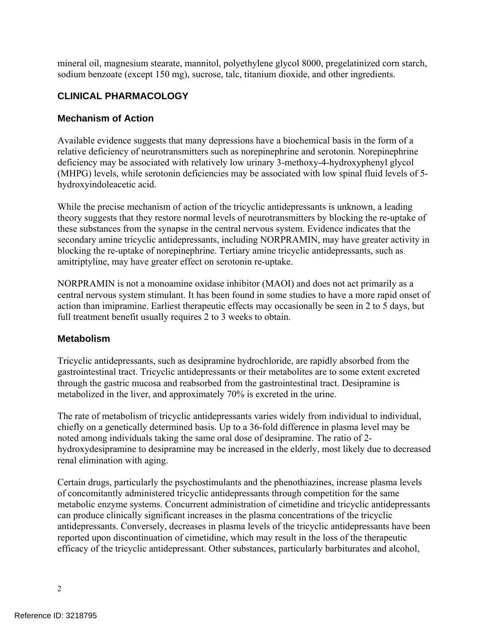mineral oil, magnesium stearate, mannitol, polyethylene glycol 8000, pregelatinized corn starch, sodium benzoate (except 150 mg), sucrose, talc, titanium dioxide, and other ingredients.

# **CLINICAL PHARMACOLOGY**

# **Mechanism of Action**

Available evidence suggests that many depressions have a biochemical basis in the form of a relative deficiency of neurotransmitters such as norepinephrine and serotonin. Norepinephrine deficiency may be associated with relatively low urinary 3-methoxy-4-hydroxyphenyl glycol (MHPG) levels, while serotonin deficiencies may be associated with low spinal fluid levels of 5 hydroxyindoleacetic acid.

While the precise mechanism of action of the tricyclic antidepressants is unknown, a leading theory suggests that they restore normal levels of neurotransmitters by blocking the re-uptake of these substances from the synapse in the central nervous system. Evidence indicates that the secondary amine tricyclic antidepressants, including NORPRAMIN, may have greater activity in blocking the re-uptake of norepinephrine. Tertiary amine tricyclic antidepressants, such as amitriptyline, may have greater effect on serotonin re-uptake.

NORPRAMIN is not a monoamine oxidase inhibitor (MAOI) and does not act primarily as a central nervous system stimulant. It has been found in some studies to have a more rapid onset of action than imipramine. Earliest therapeutic effects may occasionally be seen in 2 to 5 days, but full treatment benefit usually requires 2 to 3 weeks to obtain.

## **Metabolism**

Tricyclic antidepressants, such as desipramine hydrochloride, are rapidly absorbed from the gastrointestinal tract. Tricyclic antidepressants or their metabolites are to some extent excreted through the gastric mucosa and reabsorbed from the gastrointestinal tract. Desipramine is metabolized in the liver, and approximately 70% is excreted in the urine.

The rate of metabolism of tricyclic antidepressants varies widely from individual to individual, chiefly on a genetically determined basis. Up to a 36-fold difference in plasma level may be noted among individuals taking the same oral dose of desipramine. The ratio of 2 hydroxydesipramine to desipramine may be increased in the elderly, most likely due to decreased renal elimination with aging.

Certain drugs, particularly the psychostimulants and the phenothiazines, increase plasma levels of concomitantly administered tricyclic antidepressants through competition for the same metabolic enzyme systems. Concurrent administration of cimetidine and tricyclic antidepressants can produce clinically significant increases in the plasma concentrations of the tricyclic antidepressants. Conversely, decreases in plasma levels of the tricyclic antidepressants have been reported upon discontinuation of cimetidine, which may result in the loss of the therapeutic efficacy of the tricyclic antidepressant. Other substances, particularly barbiturates and alcohol,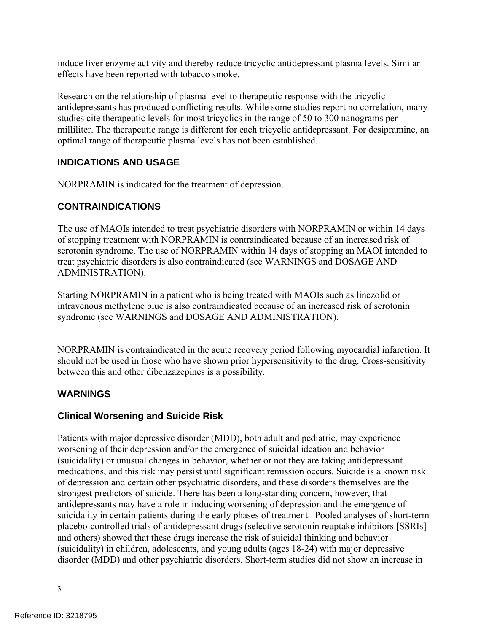induce liver enzyme activity and thereby reduce tricyclic antidepressant plasma levels. Similar effects have been reported with tobacco smoke.

Research on the relationship of plasma level to therapeutic response with the tricyclic antidepressants has produced conflicting results. While some studies report no correlation, many studies cite therapeutic levels for most tricyclics in the range of 50 to 300 nanograms per milliliter. The therapeutic range is different for each tricyclic antidepressant. For desipramine, an optimal range of therapeutic plasma levels has not been established.

# **INDICATIONS AND USAGE**

NORPRAMIN is indicated for the treatment of depression.

# **CONTRAINDICATIONS**

The use of MAOIs intended to treat psychiatric disorders with NORPRAMIN or within 14 days of stopping treatment with NORPRAMIN is contraindicated because of an increased risk of serotonin syndrome. The use of NORPRAMIN within 14 days of stopping an MAOI intended to treat psychiatric disorders is also contraindicated (see WARNINGS and DOSAGE AND ADMINISTRATION).

Starting NORPRAMIN in a patient who is being treated with MAOIs such as linezolid or intravenous methylene blue is also contraindicated because of an increased risk of serotonin syndrome (see WARNINGS and DOSAGE AND ADMINISTRATION).

NORPRAMIN is contraindicated in the acute recovery period following myocardial infarction. It should not be used in those who have shown prior hypersensitivity to the drug. Cross-sensitivity between this and other dibenzazepines is a possibility.

# **WARNINGS**

# **Clinical Worsening and Suicide Risk**

Patients with major depressive disorder (MDD), both adult and pediatric, may experience worsening of their depression and/or the emergence of suicidal ideation and behavior (suicidality) or unusual changes in behavior, whether or not they are taking antidepressant medications, and this risk may persist until significant remission occurs. Suicide is a known risk of depression and certain other psychiatric disorders, and these disorders themselves are the strongest predictors of suicide. There has been a long-standing concern, however, that antidepressants may have a role in inducing worsening of depression and the emergence of suicidality in certain patients during the early phases of treatment. Pooled analyses of short-term placebo-controlled trials of antidepressant drugs (selective serotonin reuptake inhibitors [SSRIs] and others) showed that these drugs increase the risk of suicidal thinking and behavior (suicidality) in children, adolescents, and young adults (ages 18-24) with major depressive disorder (MDD) and other psychiatric disorders. Short-term studies did not show an increase in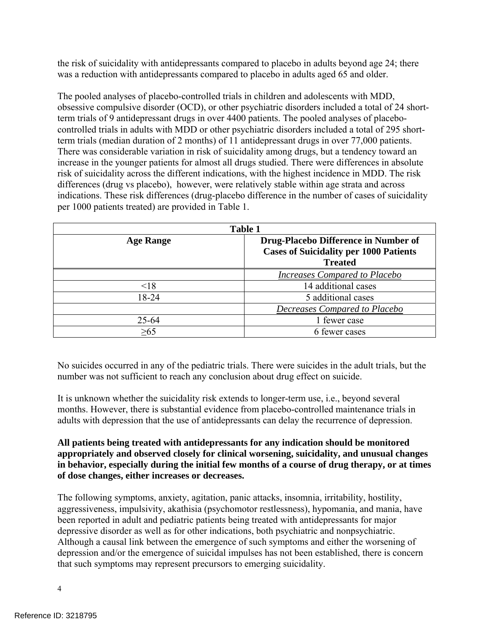the risk of suicidality with antidepressants compared to placebo in adults beyond age 24; there was a reduction with antidepressants compared to placebo in adults aged 65 and older.

The pooled analyses of placebo-controlled trials in children and adolescents with MDD, obsessive compulsive disorder (OCD), or other psychiatric disorders included a total of 24 shortterm trials of 9 antidepressant drugs in over 4400 patients. The pooled analyses of placebocontrolled trials in adults with MDD or other psychiatric disorders included a total of 295 shortterm trials (median duration of 2 months) of 11 antidepressant drugs in over 77,000 patients. There was considerable variation in risk of suicidality among drugs, but a tendency toward an increase in the younger patients for almost all drugs studied. There were differences in absolute risk of suicidality across the different indications, with the highest incidence in MDD. The risk differences (drug vs placebo), however, were relatively stable within age strata and across indications. These risk differences (drug-placebo difference in the number of cases of suicidality per 1000 patients treated) are provided in Table 1.

| <b>Table 1</b>   |                                                                                              |
|------------------|----------------------------------------------------------------------------------------------|
| <b>Age Range</b> | <b>Drug-Placebo Difference in Number of</b><br><b>Cases of Suicidality per 1000 Patients</b> |
|                  | <b>Treated</b>                                                                               |
|                  | <b>Increases Compared to Placebo</b>                                                         |
| < 18             | 14 additional cases                                                                          |
| 18-24            | 5 additional cases                                                                           |
|                  | Decreases Compared to Placebo                                                                |
| $25 - 64$        | 1 fewer case                                                                                 |
| $\geq 65$        | 6 fewer cases                                                                                |

No suicides occurred in any of the pediatric trials. There were suicides in the adult trials, but the number was not sufficient to reach any conclusion about drug effect on suicide.

It is unknown whether the suicidality risk extends to longer-term use, i.e., beyond several months. However, there is substantial evidence from placebo-controlled maintenance trials in adults with depression that the use of antidepressants can delay the recurrence of depression.

 **of dose changes, either increases or decreases. All patients being treated with antidepressants for any indication should be monitored appropriately and observed closely for clinical worsening, suicidality, and unusual changes in behavior, especially during the initial few months of a course of drug therapy, or at times** 

The following symptoms, anxiety, agitation, panic attacks, insomnia, irritability, hostility, aggressiveness, impulsivity, akathisia (psychomotor restlessness), hypomania, and mania, have been reported in adult and pediatric patients being treated with antidepressants for major depressive disorder as well as for other indications, both psychiatric and nonpsychiatric. Although a causal link between the emergence of such symptoms and either the worsening of depression and/or the emergence of suicidal impulses has not been established, there is concern that such symptoms may represent precursors to emerging suicidality.

4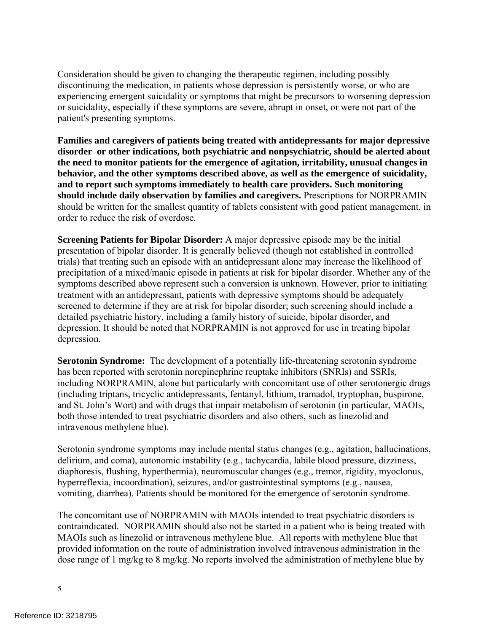Consideration should be given to changing the therapeutic regimen, including possibly discontinuing the medication, in patients whose depression is persistently worse, or who are experiencing emergent suicidality or symptoms that might be precursors to worsening depression or suicidality, especially if these symptoms are severe, abrupt in onset, or were not part of the patient's presenting symptoms.

**Families and caregivers of patients being treated with antidepressants for major depressive disorder or other indications, both psychiatric and nonpsychiatric, should be alerted about the need to monitor patients for the emergence of agitation, irritability, unusual changes in behavior, and the other symptoms described above, as well as the emergence of suicidality, and to report such symptoms immediately to health care providers. Such monitoring should include daily observation by families and caregivers.** Prescriptions for NORPRAMIN should be written for the smallest quantity of tablets consistent with good patient management, in order to reduce the risk of overdose.

**Screening Patients for Bipolar Disorder:** A major depressive episode may be the initial presentation of bipolar disorder. It is generally believed (though not established in controlled trials) that treating such an episode with an antidepressant alone may increase the likelihood of precipitation of a mixed/manic episode in patients at risk for bipolar disorder. Whether any of the symptoms described above represent such a conversion is unknown. However, prior to initiating treatment with an antidepressant, patients with depressive symptoms should be adequately screened to determine if they are at risk for bipolar disorder; such screening should include a detailed psychiatric history, including a family history of suicide, bipolar disorder, and depression. It should be noted that NORPRAMIN is not approved for use in treating bipolar depression.

**Serotonin Syndrome:** The development of a potentially life-threatening serotonin syndrome has been reported with serotonin norepinephrine reuptake inhibitors (SNRIs) and SSRIs, including NORPRAMIN, alone but particularly with concomitant use of other serotonergic drugs (including triptans, tricyclic antidepressants, fentanyl, lithium, tramadol, tryptophan, buspirone, and St. John's Wort) and with drugs that impair metabolism of serotonin (in particular, MAOIs, both those intended to treat psychiatric disorders and also others, such as linezolid and intravenous methylene blue).

Serotonin syndrome symptoms may include mental status changes (e.g., agitation, hallucinations, delirium, and coma), autonomic instability (e.g., tachycardia, labile blood pressure, dizziness, diaphoresis, flushing, hyperthermia), neuromuscular changes (e.g., tremor, rigidity, myoclonus, hyperreflexia, incoordination), seizures, and/or gastrointestinal symptoms (e.g., nausea, vomiting, diarrhea). Patients should be monitored for the emergence of serotonin syndrome.

The concomitant use of NORPRAMIN with MAOIs intended to treat psychiatric disorders is contraindicated. NORPRAMIN should also not be started in a patient who is being treated with MAOIs such as linezolid or intravenous methylene blue. All reports with methylene blue that provided information on the route of administration involved intravenous administration in the dose range of 1 mg/kg to 8 mg/kg. No reports involved the administration of methylene blue by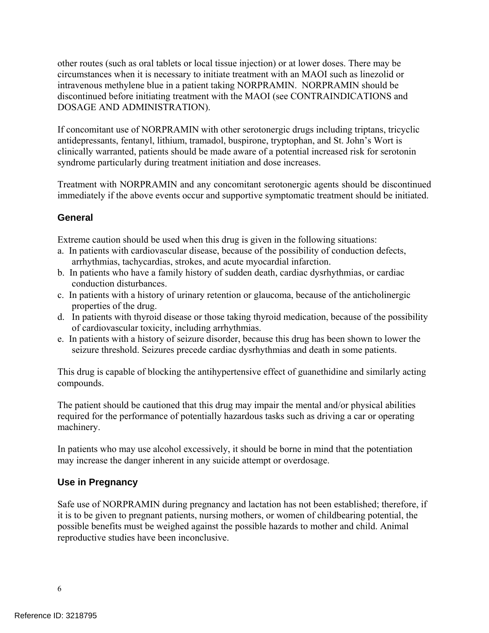other routes (such as oral tablets or local tissue injection) or at lower doses. There may be circumstances when it is necessary to initiate treatment with an MAOI such as linezolid or intravenous methylene blue in a patient taking NORPRAMIN. NORPRAMIN should be discontinued before initiating treatment with the MAOI (see CONTRAINDICATIONS and DOSAGE AND ADMINISTRATION).

If concomitant use of NORPRAMIN with other serotonergic drugs including triptans, tricyclic antidepressants, fentanyl, lithium, tramadol, buspirone, tryptophan, and St. John's Wort is clinically warranted, patients should be made aware of a potential increased risk for serotonin syndrome particularly during treatment initiation and dose increases.

Treatment with NORPRAMIN and any concomitant serotonergic agents should be discontinued immediately if the above events occur and supportive symptomatic treatment should be initiated.

# **General**

Extreme caution should be used when this drug is given in the following situations:

- a. In patients with cardiovascular disease, because of the possibility of conduction defects, arrhythmias, tachycardias, strokes, and acute myocardial infarction.
- b. In patients who have a family history of sudden death, cardiac dysrhythmias, or cardiac conduction disturbances.
- c. In patients with a history of urinary retention or glaucoma, because of the anticholinergic properties of the drug.
- d. In patients with thyroid disease or those taking thyroid medication, because of the possibility of cardiovascular toxicity, including arrhythmias.
- e. In patients with a history of seizure disorder, because this drug has been shown to lower the seizure threshold. Seizures precede cardiac dysrhythmias and death in some patients.

This drug is capable of blocking the antihypertensive effect of guanethidine and similarly acting compounds.

The patient should be cautioned that this drug may impair the mental and/or physical abilities required for the performance of potentially hazardous tasks such as driving a car or operating machinery.

In patients who may use alcohol excessively, it should be borne in mind that the potentiation may increase the danger inherent in any suicide attempt or overdosage.

# **Use in Pregnancy**

Safe use of NORPRAMIN during pregnancy and lactation has not been established; therefore, if it is to be given to pregnant patients, nursing mothers, or women of childbearing potential, the possible benefits must be weighed against the possible hazards to mother and child. Animal reproductive studies have been inconclusive.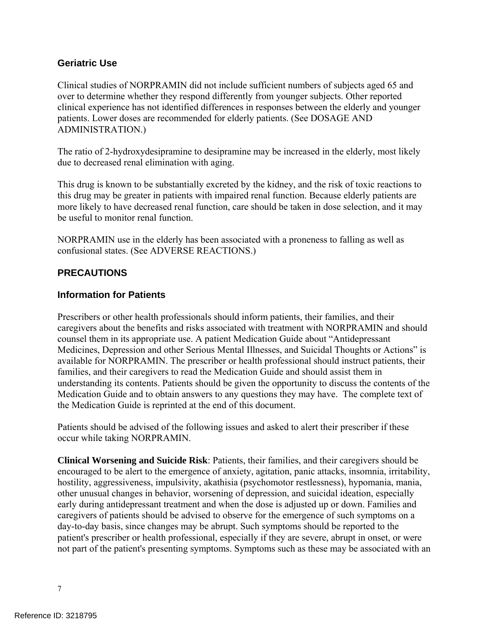## **Geriatric Use**

Clinical studies of NORPRAMIN did not include sufficient numbers of subjects aged 65 and over to determine whether they respond differently from younger subjects. Other reported clinical experience has not identified differences in responses between the elderly and younger patients. Lower doses are recommended for elderly patients. (See DOSAGE AND ADMINISTRATION.)

The ratio of 2-hydroxydesipramine to desipramine may be increased in the elderly, most likely due to decreased renal elimination with aging.

This drug is known to be substantially excreted by the kidney, and the risk of toxic reactions to this drug may be greater in patients with impaired renal function. Because elderly patients are more likely to have decreased renal function, care should be taken in dose selection, and it may be useful to monitor renal function.

NORPRAMIN use in the elderly has been associated with a proneness to falling as well as confusional states. (See ADVERSE REACTIONS.)

# **PRECAUTIONS**

## **Information for Patients**

Prescribers or other health professionals should inform patients, their families, and their caregivers about the benefits and risks associated with treatment with NORPRAMIN and should counsel them in its appropriate use. A patient Medication Guide about "Antidepressant Medicines, Depression and other Serious Mental Illnesses, and Suicidal Thoughts or Actions" is available for NORPRAMIN. The prescriber or health professional should instruct patients, their families, and their caregivers to read the Medication Guide and should assist them in understanding its contents. Patients should be given the opportunity to discuss the contents of the Medication Guide and to obtain answers to any questions they may have. The complete text of the Medication Guide is reprinted at the end of this document.

Patients should be advised of the following issues and asked to alert their prescriber if these occur while taking NORPRAMIN.

**Clinical Worsening and Suicide Risk**: Patients, their families, and their caregivers should be encouraged to be alert to the emergence of anxiety, agitation, panic attacks, insomnia, irritability, hostility, aggressiveness, impulsivity, akathisia (psychomotor restlessness), hypomania, mania, other unusual changes in behavior, worsening of depression, and suicidal ideation, especially early during antidepressant treatment and when the dose is adjusted up or down. Families and caregivers of patients should be advised to observe for the emergence of such symptoms on a day-to-day basis, since changes may be abrupt. Such symptoms should be reported to the patient's prescriber or health professional, especially if they are severe, abrupt in onset, or were not part of the patient's presenting symptoms. Symptoms such as these may be associated with an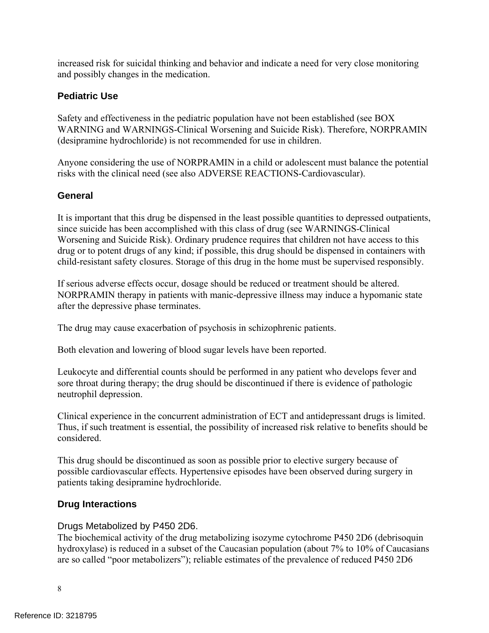increased risk for suicidal thinking and behavior and indicate a need for very close monitoring and possibly changes in the medication.

# **Pediatric Use**

Safety and effectiveness in the pediatric population have not been established (see BOX WARNING and WARNINGS-Clinical Worsening and Suicide Risk). Therefore, NORPRAMIN (desipramine hydrochloride) is not recommended for use in children.

Anyone considering the use of NORPRAMIN in a child or adolescent must balance the potential risks with the clinical need (see also ADVERSE REACTIONS-Cardiovascular).

# **General**

It is important that this drug be dispensed in the least possible quantities to depressed outpatients, since suicide has been accomplished with this class of drug (see WARNINGS-Clinical Worsening and Suicide Risk). Ordinary prudence requires that children not have access to this drug or to potent drugs of any kind; if possible, this drug should be dispensed in containers with child-resistant safety closures. Storage of this drug in the home must be supervised responsibly.

If serious adverse effects occur, dosage should be reduced or treatment should be altered. NORPRAMIN therapy in patients with manic-depressive illness may induce a hypomanic state after the depressive phase terminates.

The drug may cause exacerbation of psychosis in schizophrenic patients.

Both elevation and lowering of blood sugar levels have been reported.

Leukocyte and differential counts should be performed in any patient who develops fever and sore throat during therapy; the drug should be discontinued if there is evidence of pathologic neutrophil depression.

Clinical experience in the concurrent administration of ECT and antidepressant drugs is limited. Thus, if such treatment is essential, the possibility of increased risk relative to benefits should be considered.

This drug should be discontinued as soon as possible prior to elective surgery because of possible cardiovascular effects. Hypertensive episodes have been observed during surgery in patients taking desipramine hydrochloride.

## **Drug Interactions**

## Drugs Metabolized by P450 2D6.

The biochemical activity of the drug metabolizing isozyme cytochrome P450 2D6 (debrisoquin hydroxylase) is reduced in a subset of the Caucasian population (about 7% to 10% of Caucasians are so called "poor metabolizers"); reliable estimates of the prevalence of reduced P450 2D6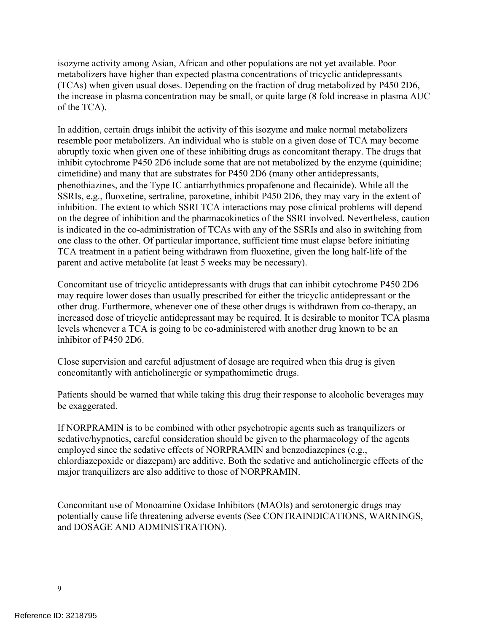isozyme activity among Asian, African and other populations are not yet available. Poor metabolizers have higher than expected plasma concentrations of tricyclic antidepressants (TCAs) when given usual doses. Depending on the fraction of drug metabolized by P450 2D6, the increase in plasma concentration may be small, or quite large (8 fold increase in plasma AUC of the TCA).

In addition, certain drugs inhibit the activity of this isozyme and make normal metabolizers resemble poor metabolizers. An individual who is stable on a given dose of TCA may become abruptly toxic when given one of these inhibiting drugs as concomitant therapy. The drugs that inhibit cytochrome P450 2D6 include some that are not metabolized by the enzyme (quinidine; cimetidine) and many that are substrates for P450 2D6 (many other antidepressants, phenothiazines, and the Type C antiarrhythmics propafenone and flecainide). While all the SSRIs, e.g., fluoxetine, sertraline, paroxetine, inhibit P450 2D6, they may vary in the extent of inhibition. The extent to which SSRI TCA interactions may pose clinical problems will depend on the degree of inhibition and the pharmacokinetics of the SSRI involved. Nevertheless, caution is indicated in the co-administration of TCAs with any of the SSRIs and also in switching from one class to the other. Of particular importance, sufficient time must elapse before initiating TCA treatment in a patient being withdrawn from fluoxetine, given the long half-life of the parent and active metabolite (at least 5 weeks may be necessary).

Concomitant use of tricyclic antidepressants with drugs that can inhibit cytochrome P450 2D6 may require lower doses than usually prescribed for either the tricyclic antidepressant or the other drug. Furthermore, whenever one of these other drugs is withdrawn from co-therapy, an increased dose of tricyclic antidepressant may be required. It is desirable to monitor TCA plasma levels whenever a TCA is going to be co-administered with another drug known to be an inhibitor of P450 2D6.

Close supervision and careful adjustment of dosage are required when this drug is given concomitantly with anticholinergic or sympathomimetic drugs.

Patients should be warned that while taking this drug their response to alcoholic beverages may be exaggerated.

If NORPRAMIN is to be combined with other psychotropic agents such as tranquilizers or sedative/hypnotics, careful consideration should be given to the pharmacology of the agents employed since the sedative effects of NORPRAMIN and benzodiazepines (e.g., chlordiazepoxide or diazepam) are additive. Both the sedative and anticholinergic effects of the major tranquilizers are also additive to those of NORPRAMIN.

Concomitant use of Monoamine Oxidase Inhibitors (MAOIs) and serotonergic drugs may potentially cause life threatening adverse events (See CONTRAINDICATIONS, WARNINGS, and DOSAGE AND ADMINISTRATION).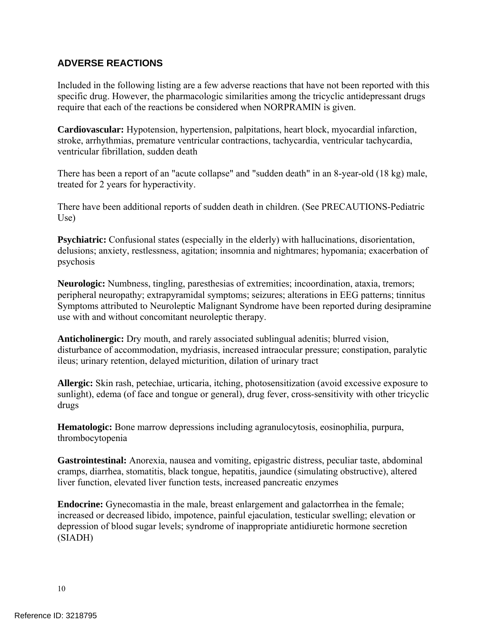# **ADVERSE REACTIONS**

Included in the following listing are a few adverse reactions that have not been reported with this specific drug. However, the pharmacologic similarities among the tricyclic antidepressant drugs require that each of the reactions be considered when NORPRAMIN is given.

**Cardiovascular:** Hypotension, hypertension, palpitations, heart block, myocardial infarction, stroke, arrhythmias, premature ventricular contractions, tachycardia, ventricular tachycardia, ventricular fibrillation, sudden death

There has been a report of an "acute collapse" and "sudden death" in an 8-year-old (18 kg) male, treated for 2 years for hyperactivity.

There have been additional reports of sudden death in children. (See PRECAUTIONS-Pediatric Use)

**Psychiatric:** Confusional states (especially in the elderly) with hallucinations, disorientation, delusions; anxiety, restlessness, agitation; insomnia and nightmares; hypomania; exacerbation of psychosis

**Neurologic:** Numbness, tingling, paresthesias of extremities; incoordination, ataxia, tremors; peripheral neuropathy; extrapyramidal symptoms; seizures; alterations in EEG patterns; tinnitus Symptoms attributed to Neuroleptic Malignant Syndrome have been reported during desipramine use with and without concomitant neuroleptic therapy.

**Anticholinergic:** Dry mouth, and rarely associated sublingual adenitis; blurred vision, disturbance of accommodation, mydriasis, increased intraocular pressure; constipation, paralytic ileus; urinary retention, delayed micturition, dilation of urinary tract

**Allergic:** Skin rash, petechiae, urticaria, itching, photosensitization (avoid excessive exposure to sunlight), edema (of face and tongue or general), drug fever, cross-sensitivity with other tricyclic drugs

**Hematologic:** Bone marrow depressions including agranulocytosis, eosinophilia, purpura, thrombocytopenia

**Gastrointestinal:** Anorexia, nausea and vomiting, epigastric distress, peculiar taste, abdominal cramps, diarrhea, stomatitis, black tongue, hepatitis, jaundice (simulating obstructive), altered liver function, elevated liver function tests, increased pancreatic enzymes

**Endocrine:** Gynecomastia in the male, breast enlargement and galactorrhea in the female; increased or decreased libido, impotence, painful ejaculation, testicular swelling; elevation or depression of blood sugar levels; syndrome of inappropriate antidiuretic hormone secretion (SIADH)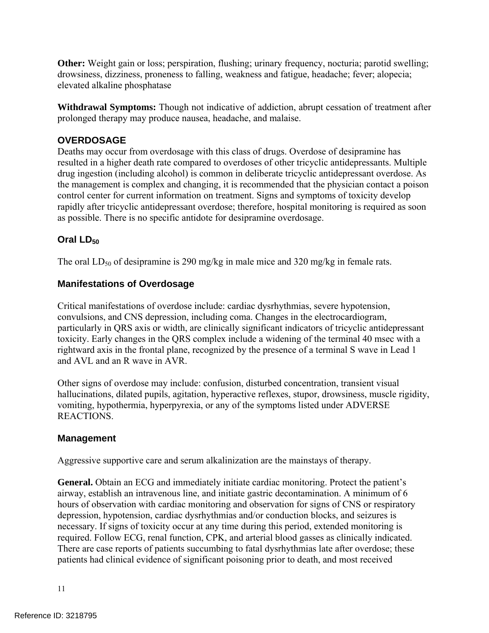**Other:** Weight gain or loss; perspiration, flushing; urinary frequency, nocturia; parotid swelling; drowsiness, dizziness, proneness to falling, weakness and fatigue, headache; fever; alopecia; elevated alkaline phosphatase

**Withdrawal Symptoms:** Though not indicative of addiction, abrupt cessation of treatment after prolonged therapy may produce nausea, headache, and malaise.

# **OVERDOSAGE**

Deaths may occur from overdosage with this class of drugs. Overdose of desipramine has resulted in a higher death rate compared to overdoses of other tricyclic antidepressants. Multiple drug ingestion (including alcohol) is common in deliberate tricyclic antidepressant overdose. As the management is complex and changing, it is recommended that the physician contact a poison control center for current information on treatment. Signs and symptoms of toxicity develop rapidly after tricyclic antidepressant overdose; therefore, hospital monitoring is required as soon as possible. There is no specific antidote for desipramine overdosage.

# **Oral LD<sub>50</sub>**

The oral  $LD_{50}$  of desipramine is 290 mg/kg in male mice and 320 mg/kg in female rats.

# **Manifestations of Overdosage**

Critical manifestations of overdose include: cardiac dysrhythmias, severe hypotension, convulsions, and CNS depression, including coma. Changes in the electrocardiogram, particularly in QRS axis or width, are clinically significant indicators of tricyclic antidepressant toxicity. Early changes in the QRS complex include a widening of the terminal 40 msec with a rightward axis in the frontal plane, recognized by the presence of a terminal S wave in Lead 1 and AVL and an R wave in AVR.

Other signs of overdose may include: confusion, disturbed concentration, transient visual hallucinations, dilated pupils, agitation, hyperactive reflexes, stupor, drowsiness, muscle rigidity, vomiting, hypothermia, hyperpyrexia, or any of the symptoms listed under ADVERSE **REACTIONS** 

## **Management**

Aggressive supportive care and serum alkalinization are the mainstays of therapy.

**General.** Obtain an ECG and immediately initiate cardiac monitoring. Protect the patient's airway, establish an intravenous line, and initiate gastric decontamination. A minimum of 6 hours of observation with cardiac monitoring and observation for signs of CNS or respiratory depression, hypotension, cardiac dysrhythmias and/or conduction blocks, and seizures is necessary. If signs of toxicity occur at any time during this period, extended monitoring is required. Follow ECG, renal function, CPK, and arterial blood gasses as clinically indicated. There are case reports of patients succumbing to fatal dysrhythmias late after overdose; these patients had clinical evidence of significant poisoning prior to death, and most received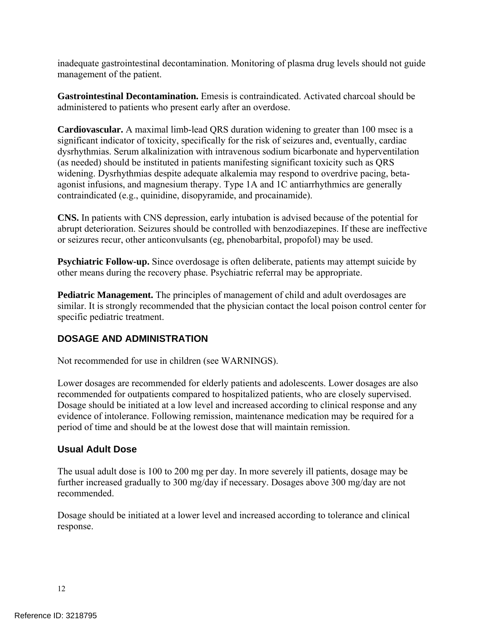inadequate gastrointestinal decontamination. Monitoring of plasma drug levels should not guide management of the patient.

**Gastrointestinal Decontamination.** Emesis is contraindicated. Activated charcoal should be administered to patients who present early after an overdose.

**Cardiovascular.** A maximal limb-lead QRS duration widening to greater than 100 msec is a significant indicator of toxicity, specifically for the risk of seizures and, eventually, cardiac dysrhythmias. Serum alkalinization with intravenous sodium bicarbonate and hyperventilation (as needed) should be instituted in patients manifesting significant toxicity such as QRS widening. Dysrhythmias despite adequate alkalemia may respond to overdrive pacing, betaagonist infusions, and magnesium therapy. Type 1A and 1C antiarrhythmics are generally contraindicated (e.g., quinidine, disopyramide, and procainamide).

**CNS.** In patients with CNS depression, early intubation is advised because of the potential for abrupt deterioration. Seizures should be controlled with benzodiazepines. If these are ineffective or seizures recur, other anticonvulsants (eg, phenobarbital, propofol) may be used.

**Psychiatric Follow-up.** Since overdosage is often deliberate, patients may attempt suicide by other means during the recovery phase. Psychiatric referral may be appropriate.

**Pediatric Management.** The principles of management of child and adult overdosages are similar. It is strongly recommended that the physician contact the local poison control center for specific pediatric treatment.

# **DOSAGE AND ADMINISTRATION**

Not recommended for use in children (see WARNINGS).

Lower dosages are recommended for elderly patients and adolescents. Lower dosages are also recommended for outpatients compared to hospitalized patients, who are closely supervised. Dosage should be initiated at a low level and increased according to clinical response and any evidence of intolerance. Following remission, maintenance medication may be required for a period of time and should be at the lowest dose that will maintain remission.

## **Usual Adult Dose**

The usual adult dose is 100 to 200 mg per day. In more severely ill patients, dosage may be further increased gradually to 300 mg/day if necessary. Dosages above 300 mg/day are not recommended.

Dosage should be initiated at a lower level and increased according to tolerance and clinical response.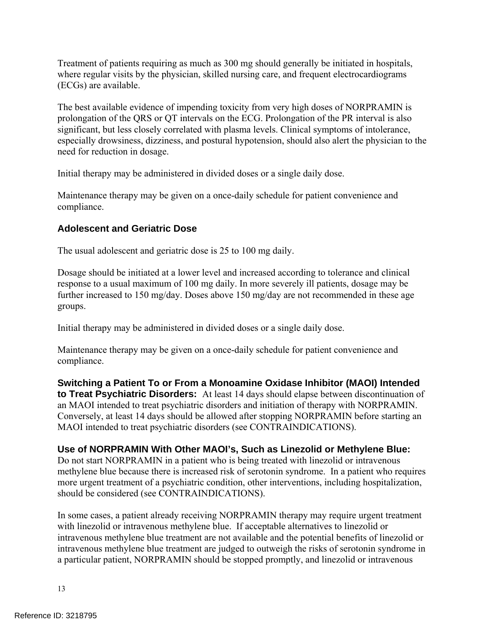Treatment of patients requiring as much as 300 mg should generally be initiated in hospitals, where regular visits by the physician, skilled nursing care, and frequent electrocardiograms (ECGs) are available.

The best available evidence of impending toxicity from very high doses of NORPRAMIN is prolongation of the QRS or QT intervals on the ECG. Prolongation of the PR interval is also significant, but less closely correlated with plasma levels. Clinical symptoms of intolerance, especially drowsiness, dizziness, and postural hypotension, should also alert the physician to the need for reduction in dosage.

Initial therapy may be administered in divided doses or a single daily dose.

Maintenance therapy may be given on a once-daily schedule for patient convenience and compliance.

## **Adolescent and Geriatric Dose**

The usual adolescent and geriatric dose is 25 to 100 mg daily.

Dosage should be initiated at a lower level and increased according to tolerance and clinical response to a usual maximum of 100 mg daily. In more severely ill patients, dosage may be further increased to 150 mg/day. Doses above 150 mg/day are not recommended in these age groups.

Initial therapy may be administered in divided doses or a single daily dose.

Maintenance therapy may be given on a once-daily schedule for patient convenience and compliance.

**Switching a Patient To or From a Monoamine Oxidase Inhibitor (MAOI) Intended to Treat Psychiatric Disorders:** At least 14 days should elapse between discontinuation of an MAOI intended to treat psychiatric disorders and initiation of therapy with NORPRAMIN. Conversely, at least 14 days should be allowed after stopping NORPRAMIN before starting an MAOI intended to treat psychiatric disorders (see CONTRAINDICATIONS).

## **Use of NORPRAMIN With Other MAOI's, Such as Linezolid or Methylene Blue:**

Do not start NORPRAMIN in a patient who is being treated with linezolid or intravenous methylene blue because there is increased risk of serotonin syndrome. In a patient who requires more urgent treatment of a psychiatric condition, other interventions, including hospitalization, should be considered (see CONTRAINDICATIONS).

In some cases, a patient already receiving NORPRAMIN therapy may require urgent treatment with linezolid or intravenous methylene blue. If acceptable alternatives to linezolid or intravenous methylene blue treatment are not available and the potential benefits of linezolid or intravenous methylene blue treatment are judged to outweigh the risks of serotonin syndrome in a particular patient, NORPRAMIN should be stopped promptly, and linezolid or intravenous